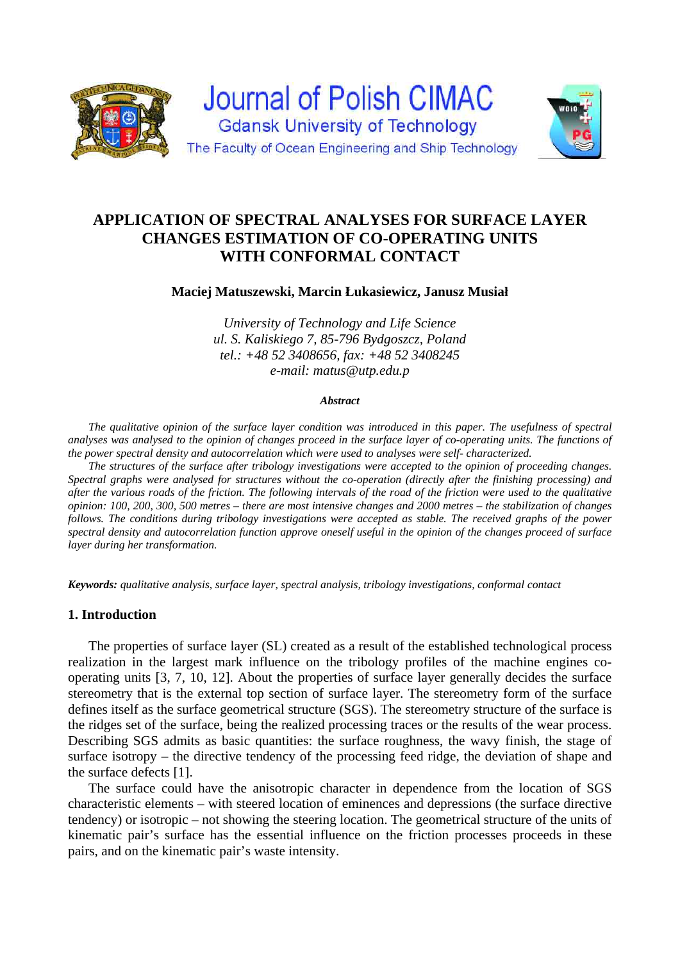



#### **Maciej Matuszewski, Marcin Łukasiewicz, Janusz Musiał**

*University of Technology and Life Science ul. S. Kaliskiego 7, 85-796 Bydgoszcz, Poland tel.: +48 52 3408656, fax: +48 52 3408245 e-mail: matus@utp.edu.p*

#### *Abstract*

*The qualitative opinion of the surface layer condition was introduced in this paper. The usefulness of spectral analyses was analysed to the opinion of changes proceed in the surface layer of co-operating units. The functions of the power spectral density and autocorrelation which were used to analyses were self- characterized.* 

*The structures of the surface after tribology investigations were accepted to the opinion of proceeding changes. Spectral graphs were analysed for structures without the co-operation (directly after the finishing processing) and after the various roads of the friction. The following intervals of the road of the friction were used to the qualitative opinion: 100, 200, 300, 500 metres – there are most intensive changes and 2000 metres – the stabilization of changes follows. The conditions during tribology investigations were accepted as stable. The received graphs of the power spectral density and autocorrelation function approve oneself useful in the opinion of the changes proceed of surface layer during her transformation.* 

*Keywords: qualitative analysis, surface layer, spectral analysis, tribology investigations, conformal contact* 

#### **1. Introduction**

The properties of surface layer (SL) created as a result of the established technological process realization in the largest mark influence on the tribology profiles of the machine engines cooperating units [3, 7, 10, 12]. About the properties of surface layer generally decides the surface stereometry that is the external top section of surface layer. The stereometry form of the surface defines itself as the surface geometrical structure (SGS). The stereometry structure of the surface is the ridges set of the surface, being the realized processing traces or the results of the wear process. Describing SGS admits as basic quantities: the surface roughness, the wavy finish, the stage of surface isotropy – the directive tendency of the processing feed ridge, the deviation of shape and the surface defects [1].

The surface could have the anisotropic character in dependence from the location of SGS characteristic elements – with steered location of eminences and depressions (the surface directive tendency) or isotropic – not showing the steering location. The geometrical structure of the units of kinematic pair's surface has the essential influence on the friction processes proceeds in these pairs, and on the kinematic pair's waste intensity.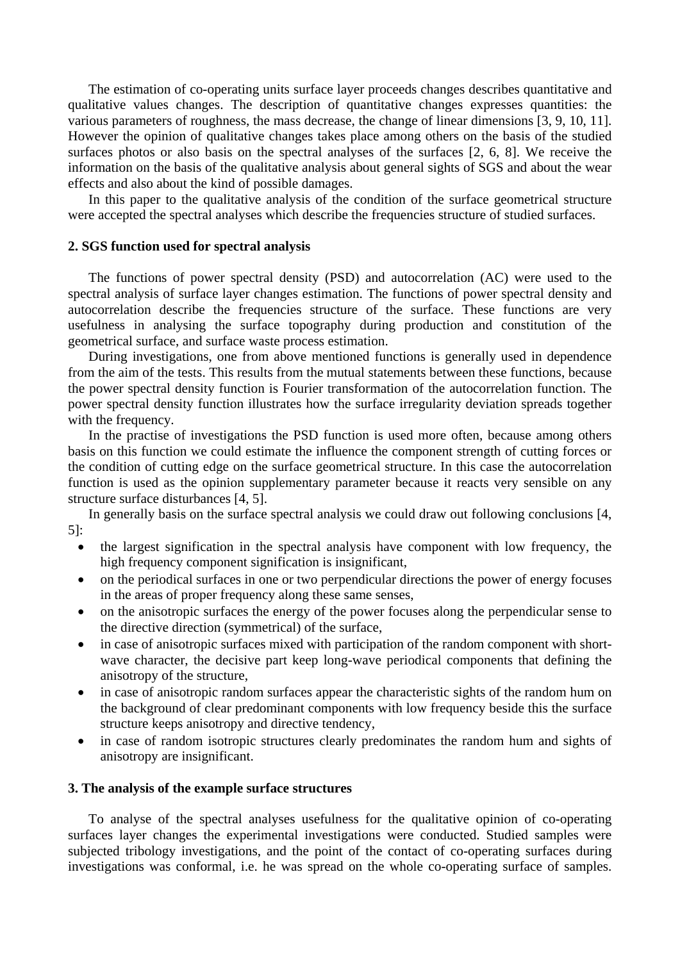The estimation of co-operating units surface layer proceeds changes describes quantitative and qualitative values changes. The description of quantitative changes expresses quantities: the various parameters of roughness, the mass decrease, the change of linear dimensions [3, 9, 10, 11]. However the opinion of qualitative changes takes place among others on the basis of the studied surfaces photos or also basis on the spectral analyses of the surfaces [2, 6, 8]. We receive the information on the basis of the qualitative analysis about general sights of SGS and about the wear effects and also about the kind of possible damages.

In this paper to the qualitative analysis of the condition of the surface geometrical structure were accepted the spectral analyses which describe the frequencies structure of studied surfaces.

## **2. SGS function used for spectral analysis**

The functions of power spectral density (PSD) and autocorrelation (AC) were used to the spectral analysis of surface layer changes estimation. The functions of power spectral density and autocorrelation describe the frequencies structure of the surface. These functions are very usefulness in analysing the surface topography during production and constitution of the geometrical surface, and surface waste process estimation.

During investigations, one from above mentioned functions is generally used in dependence from the aim of the tests. This results from the mutual statements between these functions, because the power spectral density function is Fourier transformation of the autocorrelation function. The power spectral density function illustrates how the surface irregularity deviation spreads together with the frequency.

In the practise of investigations the PSD function is used more often, because among others basis on this function we could estimate the influence the component strength of cutting forces or the condition of cutting edge on the surface geometrical structure. In this case the autocorrelation function is used as the opinion supplementary parameter because it reacts very sensible on any structure surface disturbances [4, 5].

In generally basis on the surface spectral analysis we could draw out following conclusions [4, 5]:

- the largest signification in the spectral analysis have component with low frequency, the high frequency component signification is insignificant,
- on the periodical surfaces in one or two perpendicular directions the power of energy focuses in the areas of proper frequency along these same senses,
- on the anisotropic surfaces the energy of the power focuses along the perpendicular sense to the directive direction (symmetrical) of the surface,
- in case of anisotropic surfaces mixed with participation of the random component with shortwave character, the decisive part keep long-wave periodical components that defining the anisotropy of the structure,
- in case of anisotropic random surfaces appear the characteristic sights of the random hum on the background of clear predominant components with low frequency beside this the surface structure keeps anisotropy and directive tendency,
- in case of random isotropic structures clearly predominates the random hum and sights of anisotropy are insignificant.

### **3. The analysis of the example surface structures**

To analyse of the spectral analyses usefulness for the qualitative opinion of co-operating surfaces layer changes the experimental investigations were conducted. Studied samples were subjected tribology investigations, and the point of the contact of co-operating surfaces during investigations was conformal, i.e. he was spread on the whole co-operating surface of samples.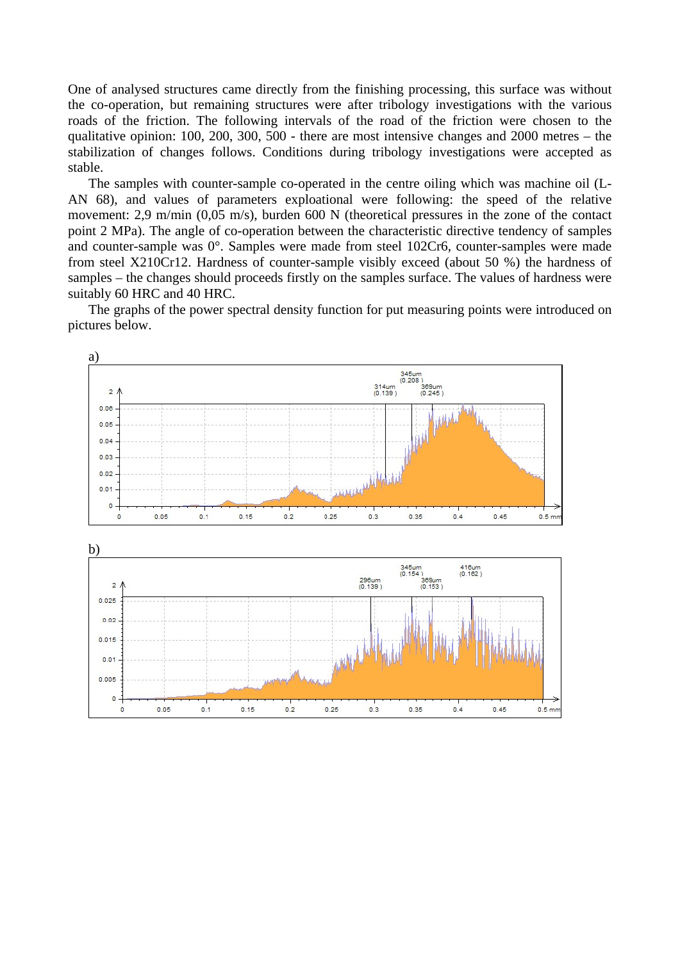One of analysed structures came directly from the finishing processing, this surface was without the co-operation, but remaining structures were after tribology investigations with the various roads of the friction. The following intervals of the road of the friction were chosen to the qualitative opinion: 100, 200, 300, 500 - there are most intensive changes and 2000 metres – the stabilization of changes follows. Conditions during tribology investigations were accepted as stable.

The samples with counter-sample co-operated in the centre oiling which was machine oil (L-AN 68), and values of parameters exploational were following: the speed of the relative movement: 2,9 m/min (0,05 m/s), burden 600 N (theoretical pressures in the zone of the contact point 2 MPa). The angle of co-operation between the characteristic directive tendency of samples and counter-sample was 0°. Samples were made from steel 102Cr6, counter-samples were made from steel X210Cr12. Hardness of counter-sample visibly exceed (about 50 %) the hardness of samples – the changes should proceeds firstly on the samples surface. The values of hardness were suitably 60 HRC and 40 HRC.

The graphs of the power spectral density function for put measuring points were introduced on pictures below.



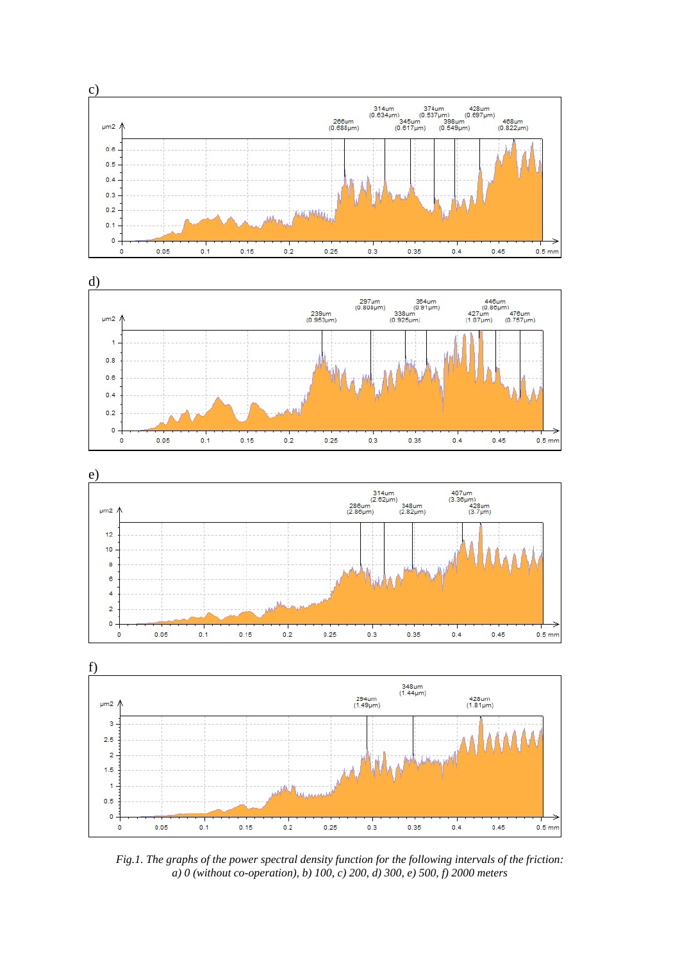







*Fig.1. The graphs of the power spectral density function for the following intervals of the friction: a) 0 (without co-operation), b) 100, c) 200, d) 300, e) 500, f) 2000 meters*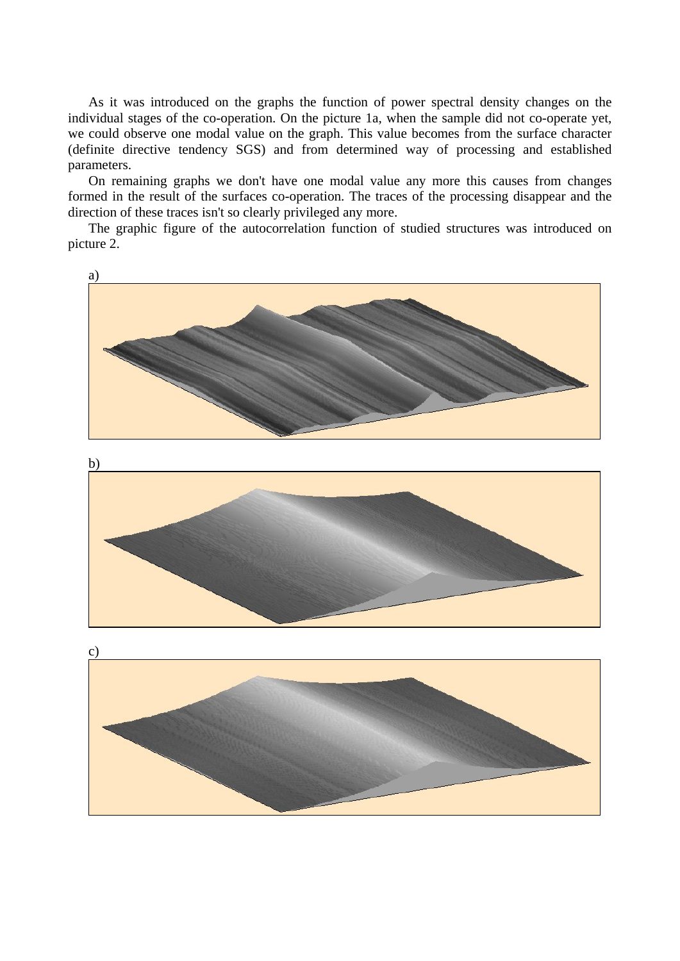As it was introduced on the graphs the function of power spectral density changes on the individual stages of the co-operation. On the picture 1a, when the sample did not co-operate yet, we could observe one modal value on the graph. This value becomes from the surface character (definite directive tendency SGS) and from determined way of processing and established parameters.

On remaining graphs we don't have one modal value any more this causes from changes formed in the result of the surfaces co-operation. The traces of the processing disappear and the direction of these traces isn't so clearly privileged any more.

The graphic figure of the autocorrelation function of studied structures was introduced on picture 2.

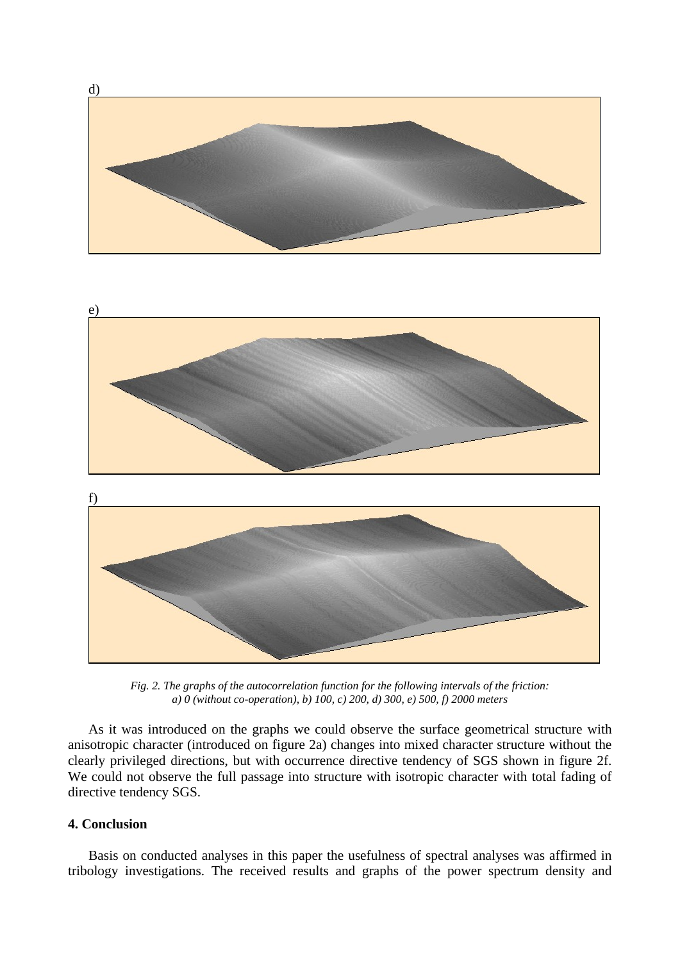

*Fig. 2. The graphs of the autocorrelation function for the following intervals of the friction: a) 0 (without co-operation), b) 100, c) 200, d) 300, e) 500, f) 2000 meters* 

As it was introduced on the graphs we could observe the surface geometrical structure with anisotropic character (introduced on figure 2a) changes into mixed character structure without the clearly privileged directions, but with occurrence directive tendency of SGS shown in figure 2f. We could not observe the full passage into structure with isotropic character with total fading of directive tendency SGS.

# **4. Conclusion**

Basis on conducted analyses in this paper the usefulness of spectral analyses was affirmed in tribology investigations. The received results and graphs of the power spectrum density and